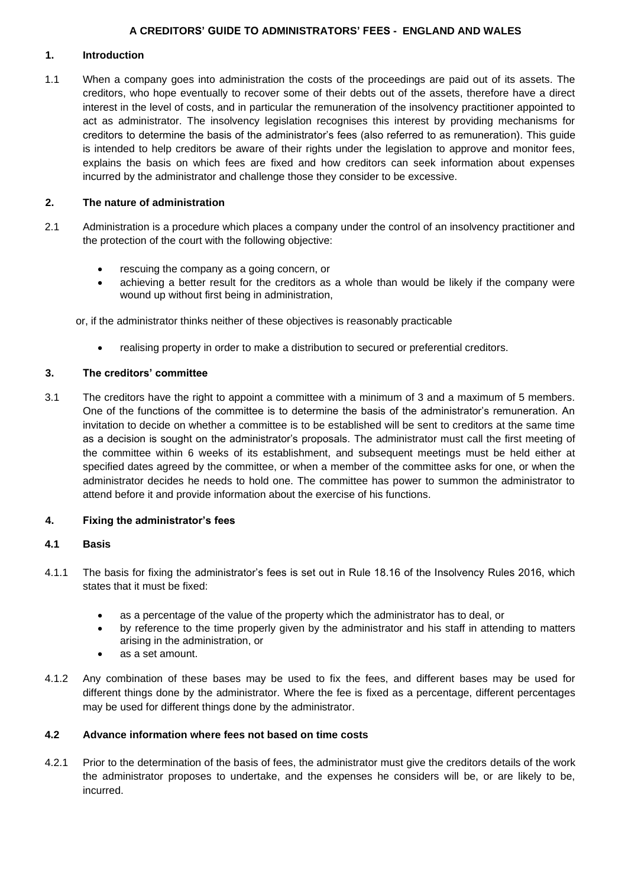## **1. Introduction**

1.1 When a company goes into administration the costs of the proceedings are paid out of its assets. The creditors, who hope eventually to recover some of their debts out of the assets, therefore have a direct interest in the level of costs, and in particular the remuneration of the insolvency practitioner appointed to act as administrator. The insolvency legislation recognises this interest by providing mechanisms for creditors to determine the basis of the administrator's fees (also referred to as remuneration). This guide is intended to help creditors be aware of their rights under the legislation to approve and monitor fees, explains the basis on which fees are fixed and how creditors can seek information about expenses incurred by the administrator and challenge those they consider to be excessive.

## **2. The nature of administration**

- 2.1 Administration is a procedure which places a company under the control of an insolvency practitioner and the protection of the court with the following objective:
	- rescuing the company as a going concern, or
	- achieving a better result for the creditors as a whole than would be likely if the company were wound up without first being in administration,

or, if the administrator thinks neither of these objectives is reasonably practicable

• realising property in order to make a distribution to secured or preferential creditors.

## **3. The creditors' committee**

3.1 The creditors have the right to appoint a committee with a minimum of 3 and a maximum of 5 members. One of the functions of the committee is to determine the basis of the administrator's remuneration. An invitation to decide on whether a committee is to be established will be sent to creditors at the same time as a decision is sought on the administrator's proposals. The administrator must call the first meeting of the committee within 6 weeks of its establishment, and subsequent meetings must be held either at specified dates agreed by the committee, or when a member of the committee asks for one, or when the administrator decides he needs to hold one. The committee has power to summon the administrator to attend before it and provide information about the exercise of his functions.

### **4. Fixing the administrator's fees**

### **4.1 Basis**

- 4.1.1 The basis for fixing the administrator's fees is set out in Rule 18.16 of the Insolvency Rules 2016, which states that it must be fixed:
	- as a percentage of the value of the property which the administrator has to deal, or
	- by reference to the time properly given by the administrator and his staff in attending to matters arising in the administration, or
	- as a set amount.
- 4.1.2 Any combination of these bases may be used to fix the fees, and different bases may be used for different things done by the administrator. Where the fee is fixed as a percentage, different percentages may be used for different things done by the administrator.

# **4.2 Advance information where fees not based on time costs**

4.2.1 Prior to the determination of the basis of fees, the administrator must give the creditors details of the work the administrator proposes to undertake, and the expenses he considers will be, or are likely to be, incurred.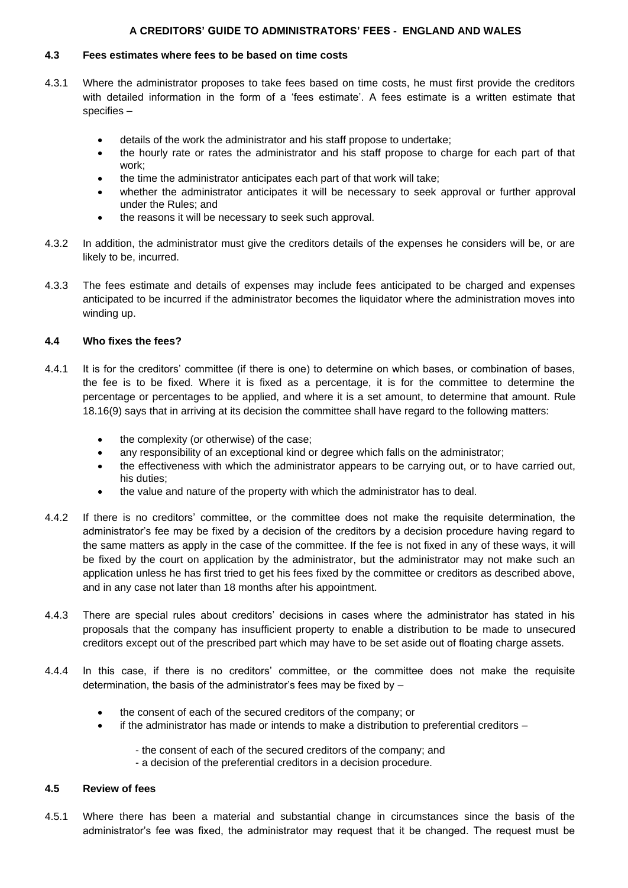### **4.3 Fees estimates where fees to be based on time costs**

- 4.3.1 Where the administrator proposes to take fees based on time costs, he must first provide the creditors with detailed information in the form of a 'fees estimate'. A fees estimate is a written estimate that specifies –
	- details of the work the administrator and his staff propose to undertake;
	- the hourly rate or rates the administrator and his staff propose to charge for each part of that work;
	- the time the administrator anticipates each part of that work will take;
	- whether the administrator anticipates it will be necessary to seek approval or further approval under the Rules; and
	- the reasons it will be necessary to seek such approval.
- 4.3.2 In addition, the administrator must give the creditors details of the expenses he considers will be, or are likely to be, incurred.
- 4.3.3 The fees estimate and details of expenses may include fees anticipated to be charged and expenses anticipated to be incurred if the administrator becomes the liquidator where the administration moves into winding up.

### **4.4 Who fixes the fees?**

- 4.4.1 It is for the creditors' committee (if there is one) to determine on which bases, or combination of bases, the fee is to be fixed. Where it is fixed as a percentage, it is for the committee to determine the percentage or percentages to be applied, and where it is a set amount, to determine that amount. Rule 18.16(9) says that in arriving at its decision the committee shall have regard to the following matters:
	- the complexity (or otherwise) of the case;
	- any responsibility of an exceptional kind or degree which falls on the administrator;
	- the effectiveness with which the administrator appears to be carrying out, or to have carried out, his duties;
	- the value and nature of the property with which the administrator has to deal.
- 4.4.2 If there is no creditors' committee, or the committee does not make the requisite determination, the administrator's fee may be fixed by a decision of the creditors by a decision procedure having regard to the same matters as apply in the case of the committee. If the fee is not fixed in any of these ways, it will be fixed by the court on application by the administrator, but the administrator may not make such an application unless he has first tried to get his fees fixed by the committee or creditors as described above, and in any case not later than 18 months after his appointment.
- 4.4.3 There are special rules about creditors' decisions in cases where the administrator has stated in his proposals that the company has insufficient property to enable a distribution to be made to unsecured creditors except out of the prescribed part which may have to be set aside out of floating charge assets.
- 4.4.4 In this case, if there is no creditors' committee, or the committee does not make the requisite determination, the basis of the administrator's fees may be fixed by –
	- the consent of each of the secured creditors of the company; or
	- if the administrator has made or intends to make a distribution to preferential creditors -
		- the consent of each of the secured creditors of the company; and
		- a decision of the preferential creditors in a decision procedure.

### **4.5 Review of fees**

4.5.1 Where there has been a material and substantial change in circumstances since the basis of the administrator's fee was fixed, the administrator may request that it be changed. The request must be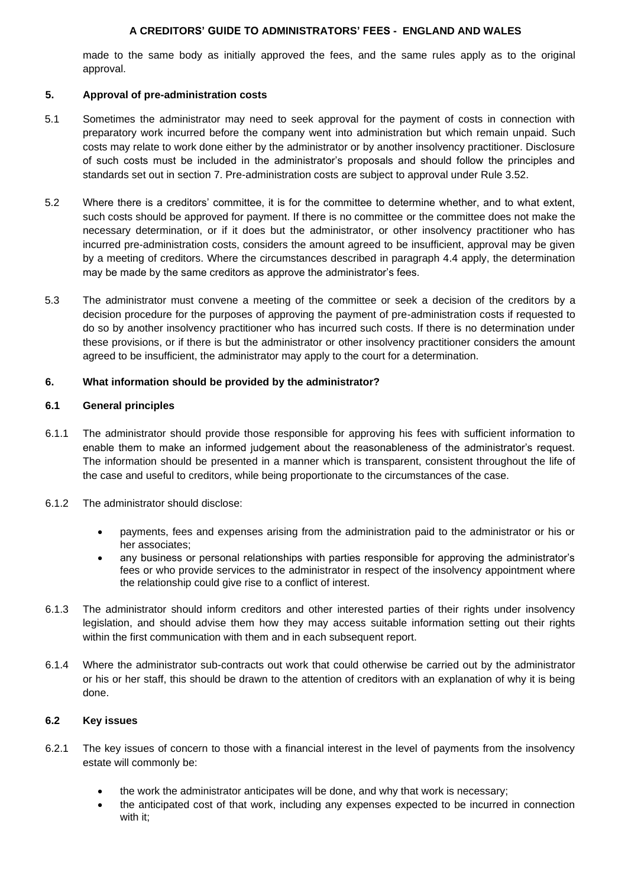made to the same body as initially approved the fees, and the same rules apply as to the original approval.

## **5. Approval of pre-administration costs**

- 5.1 Sometimes the administrator may need to seek approval for the payment of costs in connection with preparatory work incurred before the company went into administration but which remain unpaid. Such costs may relate to work done either by the administrator or by another insolvency practitioner. Disclosure of such costs must be included in the administrator's proposals and should follow the principles and standards set out in section 7. Pre-administration costs are subject to approval under Rule 3.52.
- 5.2 Where there is a creditors' committee, it is for the committee to determine whether, and to what extent, such costs should be approved for payment. If there is no committee or the committee does not make the necessary determination, or if it does but the administrator, or other insolvency practitioner who has incurred pre-administration costs, considers the amount agreed to be insufficient, approval may be given by a meeting of creditors. Where the circumstances described in paragraph 4.4 apply, the determination may be made by the same creditors as approve the administrator's fees.
- 5.3 The administrator must convene a meeting of the committee or seek a decision of the creditors by a decision procedure for the purposes of approving the payment of pre-administration costs if requested to do so by another insolvency practitioner who has incurred such costs. If there is no determination under these provisions, or if there is but the administrator or other insolvency practitioner considers the amount agreed to be insufficient, the administrator may apply to the court for a determination.

## **6. What information should be provided by the administrator?**

### **6.1 General principles**

- 6.1.1 The administrator should provide those responsible for approving his fees with sufficient information to enable them to make an informed judgement about the reasonableness of the administrator's request. The information should be presented in a manner which is transparent, consistent throughout the life of the case and useful to creditors, while being proportionate to the circumstances of the case.
- 6.1.2 The administrator should disclose:
	- payments, fees and expenses arising from the administration paid to the administrator or his or her associates;
	- any business or personal relationships with parties responsible for approving the administrator's fees or who provide services to the administrator in respect of the insolvency appointment where the relationship could give rise to a conflict of interest.
- 6.1.3 The administrator should inform creditors and other interested parties of their rights under insolvency legislation, and should advise them how they may access suitable information setting out their rights within the first communication with them and in each subsequent report.
- 6.1.4 Where the administrator sub-contracts out work that could otherwise be carried out by the administrator or his or her staff, this should be drawn to the attention of creditors with an explanation of why it is being done.

## **6.2 Key issues**

- 6.2.1 The key issues of concern to those with a financial interest in the level of payments from the insolvency estate will commonly be:
	- the work the administrator anticipates will be done, and why that work is necessary;
	- the anticipated cost of that work, including any expenses expected to be incurred in connection with it;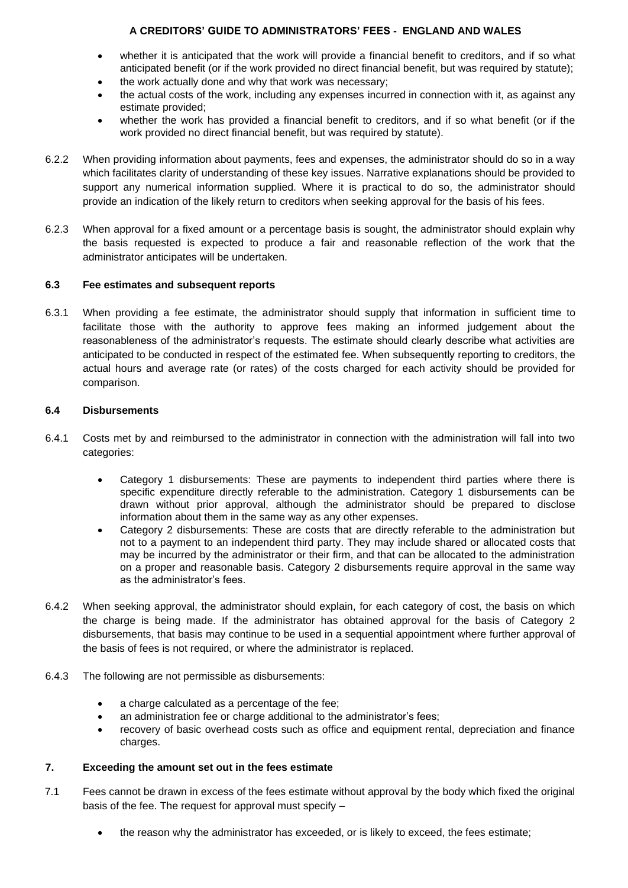- whether it is anticipated that the work will provide a financial benefit to creditors, and if so what anticipated benefit (or if the work provided no direct financial benefit, but was required by statute);
- the work actually done and why that work was necessary;
- the actual costs of the work, including any expenses incurred in connection with it, as against any estimate provided;
- whether the work has provided a financial benefit to creditors, and if so what benefit (or if the work provided no direct financial benefit, but was required by statute).
- 6.2.2 When providing information about payments, fees and expenses, the administrator should do so in a way which facilitates clarity of understanding of these key issues. Narrative explanations should be provided to support any numerical information supplied. Where it is practical to do so, the administrator should provide an indication of the likely return to creditors when seeking approval for the basis of his fees.
- 6.2.3 When approval for a fixed amount or a percentage basis is sought, the administrator should explain why the basis requested is expected to produce a fair and reasonable reflection of the work that the administrator anticipates will be undertaken.

### **6.3 Fee estimates and subsequent reports**

6.3.1 When providing a fee estimate, the administrator should supply that information in sufficient time to facilitate those with the authority to approve fees making an informed judgement about the reasonableness of the administrator's requests. The estimate should clearly describe what activities are anticipated to be conducted in respect of the estimated fee. When subsequently reporting to creditors, the actual hours and average rate (or rates) of the costs charged for each activity should be provided for comparison.

### **6.4 Disbursements**

- 6.4.1 Costs met by and reimbursed to the administrator in connection with the administration will fall into two categories:
	- Category 1 disbursements: These are payments to independent third parties where there is specific expenditure directly referable to the administration. Category 1 disbursements can be drawn without prior approval, although the administrator should be prepared to disclose information about them in the same way as any other expenses.
	- Category 2 disbursements: These are costs that are directly referable to the administration but not to a payment to an independent third party. They may include shared or allocated costs that may be incurred by the administrator or their firm, and that can be allocated to the administration on a proper and reasonable basis. Category 2 disbursements require approval in the same way as the administrator's fees.
- 6.4.2 When seeking approval, the administrator should explain, for each category of cost, the basis on which the charge is being made. If the administrator has obtained approval for the basis of Category 2 disbursements, that basis may continue to be used in a sequential appointment where further approval of the basis of fees is not required, or where the administrator is replaced.
- 6.4.3 The following are not permissible as disbursements:
	- a charge calculated as a percentage of the fee;
	- an administration fee or charge additional to the administrator's fees;
	- recovery of basic overhead costs such as office and equipment rental, depreciation and finance charges.

## **7. Exceeding the amount set out in the fees estimate**

- 7.1 Fees cannot be drawn in excess of the fees estimate without approval by the body which fixed the original basis of the fee. The request for approval must specify –
	- the reason why the administrator has exceeded, or is likely to exceed, the fees estimate;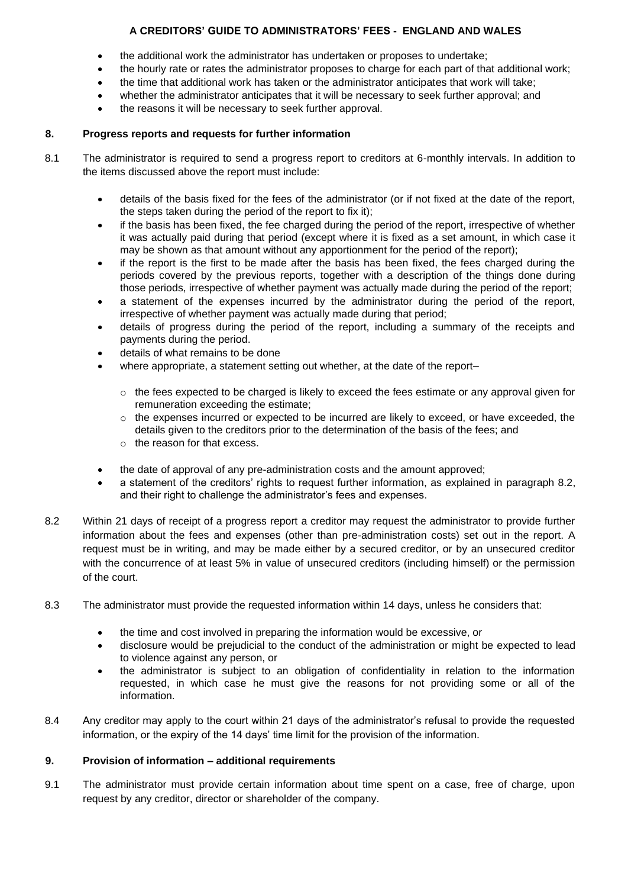- the additional work the administrator has undertaken or proposes to undertake;
- the hourly rate or rates the administrator proposes to charge for each part of that additional work;
- the time that additional work has taken or the administrator anticipates that work will take;
- whether the administrator anticipates that it will be necessary to seek further approval; and
- the reasons it will be necessary to seek further approval.

### **8. Progress reports and requests for further information**

- 8.1 The administrator is required to send a progress report to creditors at 6-monthly intervals. In addition to the items discussed above the report must include:
	- details of the basis fixed for the fees of the administrator (or if not fixed at the date of the report, the steps taken during the period of the report to fix it);
	- if the basis has been fixed, the fee charged during the period of the report, irrespective of whether it was actually paid during that period (except where it is fixed as a set amount, in which case it may be shown as that amount without any apportionment for the period of the report);
	- if the report is the first to be made after the basis has been fixed, the fees charged during the periods covered by the previous reports, together with a description of the things done during those periods, irrespective of whether payment was actually made during the period of the report;
	- a statement of the expenses incurred by the administrator during the period of the report, irrespective of whether payment was actually made during that period;
	- details of progress during the period of the report, including a summary of the receipts and payments during the period.
	- details of what remains to be done
	- where appropriate, a statement setting out whether, at the date of the report–
		- $\circ$  the fees expected to be charged is likely to exceed the fees estimate or any approval given for remuneration exceeding the estimate;
		- $\circ$  the expenses incurred or expected to be incurred are likely to exceed, or have exceeded, the details given to the creditors prior to the determination of the basis of the fees; and
		- o the reason for that excess.
	- the date of approval of any pre-administration costs and the amount approved;
	- a statement of the creditors' rights to request further information, as explained in paragraph 8.2, and their right to challenge the administrator's fees and expenses.
- 8.2 Within 21 days of receipt of a progress report a creditor may request the administrator to provide further information about the fees and expenses (other than pre-administration costs) set out in the report. A request must be in writing, and may be made either by a secured creditor, or by an unsecured creditor with the concurrence of at least 5% in value of unsecured creditors (including himself) or the permission of the court.
- 8.3 The administrator must provide the requested information within 14 days, unless he considers that:
	- the time and cost involved in preparing the information would be excessive, or
	- disclosure would be prejudicial to the conduct of the administration or might be expected to lead to violence against any person, or
	- the administrator is subject to an obligation of confidentiality in relation to the information requested, in which case he must give the reasons for not providing some or all of the information.
- 8.4 Any creditor may apply to the court within 21 days of the administrator's refusal to provide the requested information, or the expiry of the 14 days' time limit for the provision of the information.

### **9. Provision of information – additional requirements**

9.1 The administrator must provide certain information about time spent on a case, free of charge, upon request by any creditor, director or shareholder of the company.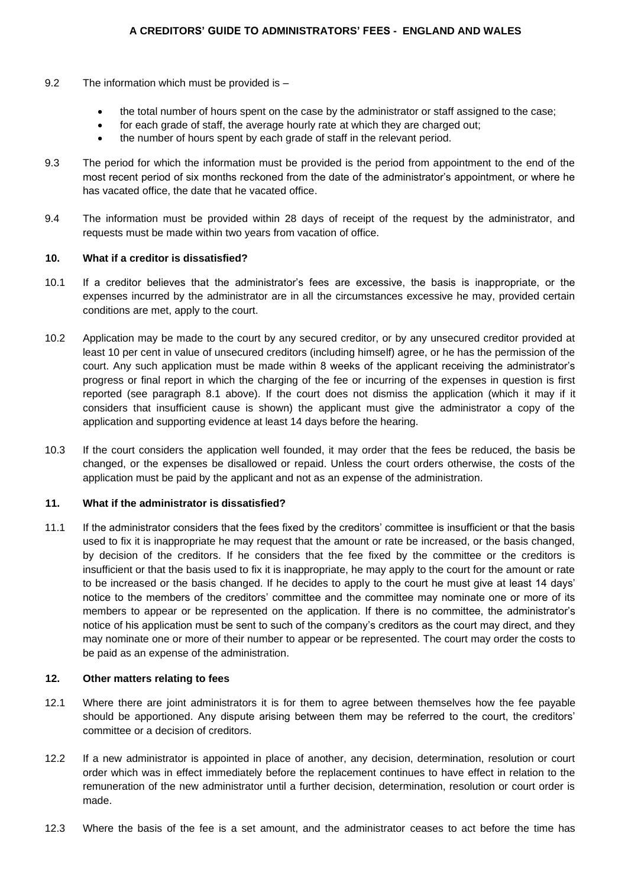- 9.2 The information which must be provided is
	- the total number of hours spent on the case by the administrator or staff assigned to the case;
	- for each grade of staff, the average hourly rate at which they are charged out;
	- the number of hours spent by each grade of staff in the relevant period.
- 9.3 The period for which the information must be provided is the period from appointment to the end of the most recent period of six months reckoned from the date of the administrator's appointment, or where he has vacated office, the date that he vacated office.
- 9.4 The information must be provided within 28 days of receipt of the request by the administrator, and requests must be made within two years from vacation of office.

#### **10. What if a creditor is dissatisfied?**

- 10.1 If a creditor believes that the administrator's fees are excessive, the basis is inappropriate, or the expenses incurred by the administrator are in all the circumstances excessive he may, provided certain conditions are met, apply to the court.
- 10.2 Application may be made to the court by any secured creditor, or by any unsecured creditor provided at least 10 per cent in value of unsecured creditors (including himself) agree, or he has the permission of the court. Any such application must be made within 8 weeks of the applicant receiving the administrator's progress or final report in which the charging of the fee or incurring of the expenses in question is first reported (see paragraph 8.1 above). If the court does not dismiss the application (which it may if it considers that insufficient cause is shown) the applicant must give the administrator a copy of the application and supporting evidence at least 14 days before the hearing.
- 10.3 If the court considers the application well founded, it may order that the fees be reduced, the basis be changed, or the expenses be disallowed or repaid. Unless the court orders otherwise, the costs of the application must be paid by the applicant and not as an expense of the administration.

### **11. What if the administrator is dissatisfied?**

11.1 If the administrator considers that the fees fixed by the creditors' committee is insufficient or that the basis used to fix it is inappropriate he may request that the amount or rate be increased, or the basis changed, by decision of the creditors. If he considers that the fee fixed by the committee or the creditors is insufficient or that the basis used to fix it is inappropriate, he may apply to the court for the amount or rate to be increased or the basis changed. If he decides to apply to the court he must give at least 14 days' notice to the members of the creditors' committee and the committee may nominate one or more of its members to appear or be represented on the application. If there is no committee, the administrator's notice of his application must be sent to such of the company's creditors as the court may direct, and they may nominate one or more of their number to appear or be represented. The court may order the costs to be paid as an expense of the administration.

### **12. Other matters relating to fees**

- 12.1 Where there are joint administrators it is for them to agree between themselves how the fee payable should be apportioned. Any dispute arising between them may be referred to the court, the creditors' committee or a decision of creditors.
- 12.2 If a new administrator is appointed in place of another, any decision, determination, resolution or court order which was in effect immediately before the replacement continues to have effect in relation to the remuneration of the new administrator until a further decision, determination, resolution or court order is made.
- 12.3 Where the basis of the fee is a set amount, and the administrator ceases to act before the time has